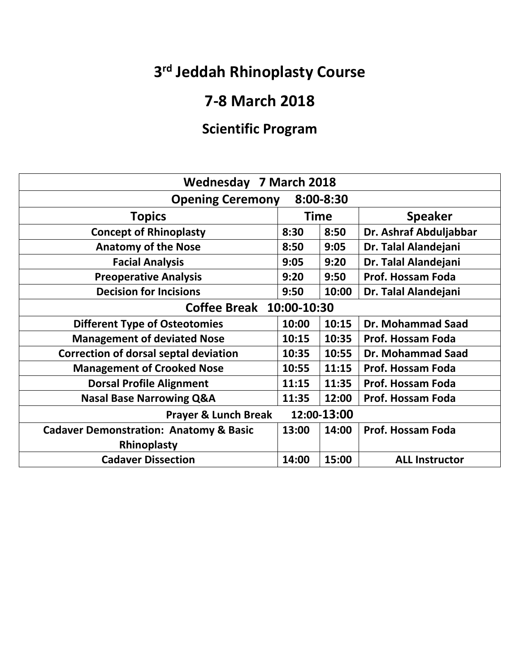## **3rd Jeddah Rhinoplasty Course**

#### **7‐8 March 2018**

### **Scientific Program**

| Wednesday 7 March 2018                            |             |       |                          |  |  |
|---------------------------------------------------|-------------|-------|--------------------------|--|--|
| <b>Opening Ceremony</b><br>8:00-8:30              |             |       |                          |  |  |
| <b>Topics</b>                                     | <b>Time</b> |       | <b>Speaker</b>           |  |  |
| <b>Concept of Rhinoplasty</b>                     | 8:30        | 8:50  | Dr. Ashraf Abduljabbar   |  |  |
| <b>Anatomy of the Nose</b>                        | 8:50        | 9:05  | Dr. Talal Alandejani     |  |  |
| <b>Facial Analysis</b>                            | 9:05        | 9:20  | Dr. Talal Alandejani     |  |  |
| <b>Preoperative Analysis</b>                      | 9:20        | 9:50  | Prof. Hossam Foda        |  |  |
| <b>Decision for Incisions</b>                     | 9:50        | 10:00 | Dr. Talal Alandejani     |  |  |
| Coffee Break 10:00-10:30                          |             |       |                          |  |  |
| <b>Different Type of Osteotomies</b>              | 10:00       | 10:15 | Dr. Mohammad Saad        |  |  |
| <b>Management of deviated Nose</b>                | 10:15       | 10:35 | <b>Prof. Hossam Foda</b> |  |  |
| <b>Correction of dorsal septal deviation</b>      | 10:35       | 10:55 | <b>Dr. Mohammad Saad</b> |  |  |
| <b>Management of Crooked Nose</b>                 | 10:55       | 11:15 | <b>Prof. Hossam Foda</b> |  |  |
| <b>Dorsal Profile Alignment</b>                   | 11:15       | 11:35 | <b>Prof. Hossam Foda</b> |  |  |
| <b>Nasal Base Narrowing Q&amp;A</b>               | 11:35       | 12:00 | <b>Prof. Hossam Foda</b> |  |  |
| 12:00-13:00<br><b>Prayer &amp; Lunch Break</b>    |             |       |                          |  |  |
| <b>Cadaver Demonstration: Anatomy &amp; Basic</b> | 13:00       | 14:00 | Prof. Hossam Foda        |  |  |
| Rhinoplasty                                       |             |       |                          |  |  |
| <b>Cadaver Dissection</b>                         | 14:00       | 15:00 | <b>ALL Instructor</b>    |  |  |